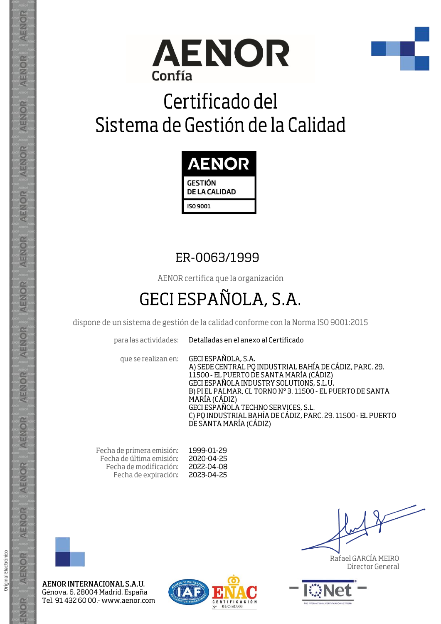



# Certificado del Sistema de Gestión de la Calidad



### ER-0063/1999

AENOR certifica que la organización

## **GECI ESPAÑOLA, S.A.**

dispone de un sistema de gestión de la calidad conforme con la Norma ISO 9001:2015

para las actividades:

Detalladas en el anexo al Certificado

que se realizan en:

GECI ESPAÑOLA, S.A. A) SEDE CENTRAL PO INDUSTRIAL BAHÍA DE CÁDIZ, PARC. 29.<br>11500 - EL PUERTO DE SANTA MARÍA (CÁDIZ) GECI ESPAÑOLA INDUSTRY SOLUTIONS, S.L.U. B) PIEL PALMAR, CL TORNO Nº 3.11500 - EL PUERTO DE SANTA MARÍA (CÁDIZ) GECI ESPAÑOLA TECHNO SERVICES, S.L. C) PO INDUSTRIAL BAHÍA DE CÁDIZ, PARC. 29. 11500 - EL PUERTO DE SANTA MARÍA (CÁDIZ)

Fecha de primera emisión: Fecha de última emisión: Fecha de modificación: Fecha de expiración:

1999-01-29 2020-04-25 2022-04-08 2023-04-25



AENOR INTERNACIONAL S.A.U. Génova, 6. 28004 Madrid. España Tel. 91 432 60 00 - www.aenor.com



Rafael GARCÍA MEIRO Director General



Original Electrónico

AENOR

ENOR

ENOR

AENOR

AENOR

AENOR

**AENOR** 

AENOR

ENOR

ENOR

AENOR

AENOR

AENOR

ENOR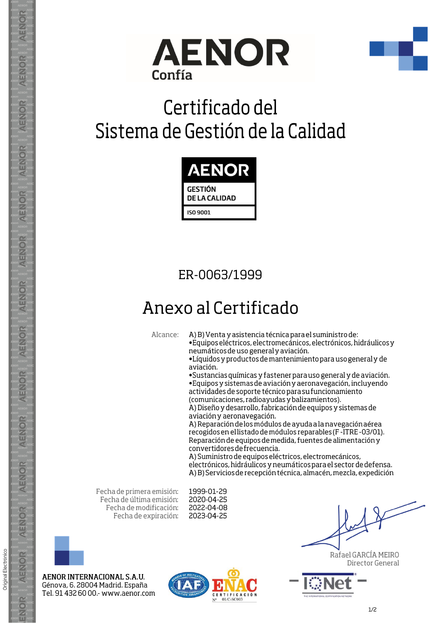



# Certificado del Sistema de Gestión de la Calidad



### ER-0063/1999

## Anexo al Certificado

Alcance: A) B) Venta y asistencia técnica para el suministro de:

· Equipos eléctricos, electromecánicos, electrónicos, hidráulicos y neumáticos de uso general y aviación.

·Líquidos y productos de mantenimiento para uso general y de aviación.

· Sustancias químicas y fastener para uso general y de aviación.

· Equipos y sistemas de aviación y aeronavegación, incluyendo actividades de soporte técnico para su funcionamiento (comunicaciones, radioayudas y balizamientos).

A) Diseño y desarrollo, fabricación de equipos y sistemas de aviación y aeronavegación.

A) Reparación de los módulos de ayuda a la navegación aérea recogidos en el listado de módulos reparables (F-ITRE-03/01). Reparación de equipos de medida, fuentes de alimentación y convertidores de frecuencia.

A) Suministro de equipos eléctricos, electromecánicos, electrónicos, hidráulicos y neumáticos para el sector de defensa. A) B) Servicios de recepción técnica, almacén, mezcla, expedición

Fecha de primera emisión: Fecha de última emisión: Fecha de modificación: Fecha de expiración:

1999-01-29 2020-04-25 2022-04-08 2023-04-25



AENOR INTERNACIONAL S.A.U. Génova, 6. 28004 Madrid. España Tel. 91 432 60 00 .- www.aenor.com



Rafael GARCÍA MEIRO Director General



 $1/2$ 

**AENOR** 

AENOR

ENOR

**AENOR** 

AENOR

ENOR

**AENOR** 

**AENOR** 

AENOR

**AENOR** 

AENOR

AENOR

AENOR

ENOR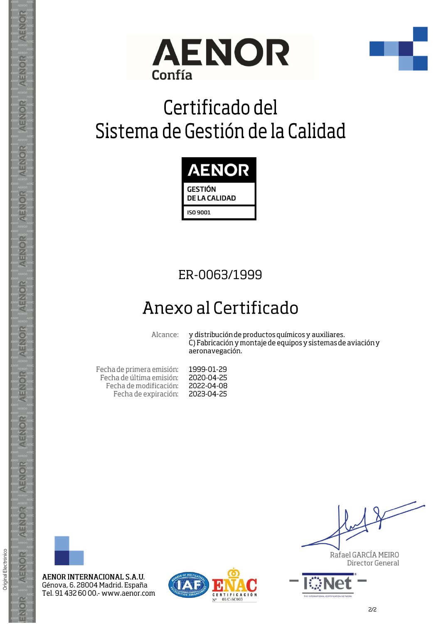



# Certificado del Sistema de Gestión de la Calidad



#### ER-0063/1999

### Anexo al Certificado

Alcance:

y distribución de productos químicos y auxiliares. C) Fabricación y montaje de equipos y sistemas de aviación y aeronavegación.

Fecha de primera emisión: Fecha de última emisión: Fecha de modificación: Fecha de expiración:

1999-01-29 2020-04-25 2022-04-08 2023-04-25



**AENOR** 

**AENOR** 

AENOR

**AENOR** 

AENOR

AENOR

**AENOR** 

AENOR

**AENOR** 

AENOR

**AENOR** 

**AENOR** 

**AENOR** 

ENOR

Original Electrónico

AENOR INTERNACIONAL S.A.U. Génova, 6. 28004 Madrid. España Tel. 91 432 60 00.- www.aenor.com



Rafael GARCÍA MEIRO Director General

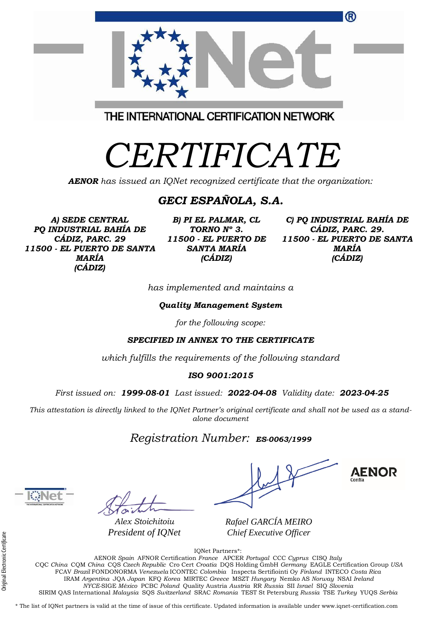|                                         | <sup>(R)</sup> |
|-----------------------------------------|----------------|
| THE INTERNATIONAL CERTIFICATION NETWORK |                |
| CERTIFICATE                             |                |

*AENOR has issued an IQNet recognized certificate that the organization:*

#### *GECI ESPAÑOLA, S.A.*

*A) SEDE CENTRAL PQ INDUSTRIAL BAHÍA DE CÁDIZ, PARC. 29 11500 - EL PUERTO DE SANTA MARÍA (CÁDIZ)*

*B) PI EL PALMAR, CL TORNO Nº 3. 11500 - EL PUERTO DE SANTA MARÍA (CÁDIZ)*

*C) PQ INDUSTRIAL BAHÍA DE CÁDIZ, PARC. 29. 11500 - EL PUERTO DE SANTA MARÍA (CÁDIZ)*

*has implemented and maintains a*

*Quality Management System*

*for the following scope:* 

*SPECIFIED IN ANNEX TO THE CERTIFICATE*

*which fulfills the requirements of the following standard*

*ISO 9001:2015*

*First issued on: 1999-08-01 Last issued: 2022-04-08 Validity date: 2023-04-25*

This attestation is directly linked to the IQNet Partner's original certificate and shall not be used as a stand*alone document*

#### *Registration Number: ES-0063/1999*

*Alex Stoichitoiu President of IQNet*

**AENOR** 

*Rafael GARCÍA MEIRO Chief Executive Officer*

IQNet Partners\*:

AENOR *Spain* AFNOR Certification *France* APCER *Portugal* CCC *Cyprus* CISQ *Italy* CQC *China* CQM *China* CQS *Czech Republic* Cro Cert *Croatia* DQS Holding GmbH *Germany* EAGLE Certification Group *USA* FCAV *Brazil* FONDONORMA *Venezuela* ICONTEC *Colombia* Inspecta Sertifiointi Oy *Finland* INTECO *Costa Rica* IRAM *Argentina* JQA *Japan* KFQ *Korea* MIRTEC *Greece* MSZT *Hungary* Nemko AS *Norway* NSAI *Ireland NYCE-*SIGE *México* PCBC *Poland* Quality Austria *Austria* RR *Russia* SII *Israel* SIQ *Slovenia*  SIRIM QAS International *Malaysia* SQS *Switzerland* SRAC *Romania* TEST St Petersburg *Russia* TSE *Turkey* YUQS *Serbia*

\* The list of IQNet partners is valid at the time of issue of this certificate. Updated information is available under www.iqnet-certification.com